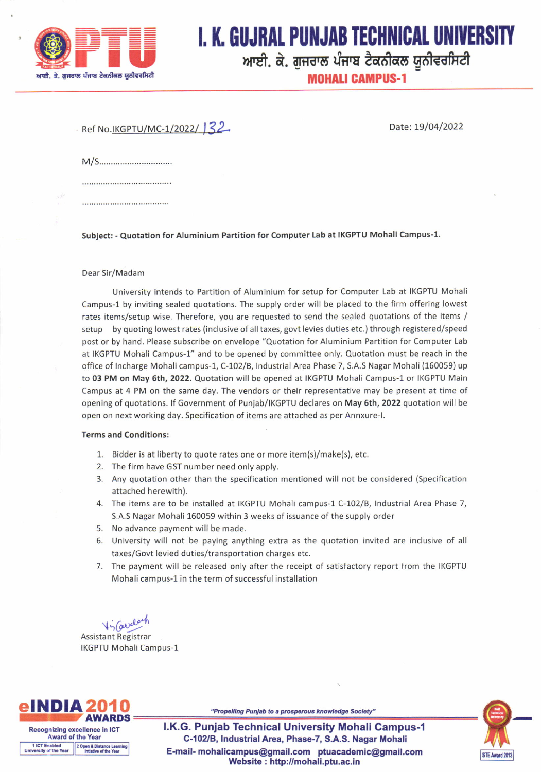

## I. K. GUJRAL PUNJAB TECHNICAL UNIVERSITY

ਆਈ. ਕੇ. ਗੁਜਰਾਲ ਪੰਜਾਬ ਟੈਕਨੀਕਲ ਯੂਨੀਵਰਸਿਟੀ

**MOHALI CAMPUS-1** 

Ref No.IKGPTU/MC-1/2022/132

Date: 19/O4/2O22

M/S................................

....................................

...................................

Subiect: - Quotation for Aluminium Partition for Computer Lab at IKGPTU Mohali Campus-1.

## Dear 5ir/Madam

University intends to Partition of Aluminium for setup for Computer Lab at IKGPTU Mohali Campus-1 by inviting sealed quotations. The supply order will be placed to the firm offering lowest rates items/setup wise. Therefore, you are requested to send the sealed quotations of the items / setup by quoting lowest rates (inclusive of all taxes, govt levies duties etc.) through registered/speed post or by hand. Please subscribe on envelope "Quotation for Aluminium Partition for Computer Lab at IKGPTU Mohali Campus-L" and to be opened by committee only. Quotation must be reach in the office of Incharge Mohali campus-1, C-102/B, Industrial Area Phase 7, S.A.S Nagar Mohali (160059) up to 03 PM on May 6th, 2022. Quotation will be opened at IKGPTU Mohali Campus-1 or IKGPTU Main Campus at 4 PM on the same day. The vendors or their representative may be present at time of opening of quotations. lf Government of Punjab/IKGPTU declares on May 6th,2022 quotation will be open on next working day. Specification of items are attached as per Annxure-1.

## Terms and Conditions:

- 1. Bidder is at liberty to quote rates one or more item(s)/make(s), etc.
- 2. The firm have GST number need only apply.
- 3. Any quotation other than the specification mentioned will not be considered (Specification attached herewith).
- 4. The items are to be installed at IKGPTU Mohali campus-1 C-102/B, Industrial Area Phase 7, S.A.S Nagar Mohali 160059 within 3 weeks of issuance of the supply order
- 5. No advance payment will be made.
- 6. University will not be paying anything extra as the quotation invited are inclusive of all taxes/Govt levied duties/transportation charges etc.
- 7. The payment will be released only after the receipt of satisfactory report from the IKGPTU Mohali campus-1 in the term of successful installation

 $V_5$  Cardent Assistant Registrar IKGPTU Mohali Campus-1



Distance Le<br>ve of the Ye

**ISTE Award 2013** 

l.K.G. PunJab Technical University Mohall Campus-1 C-102/B, Industrial Area, Phase-7, S.A.S. Nagar Mohali E.mail- mohallcampus@gmail.com ptuacademlc@gmail.com Website : hftp://mohali.ptu.ac.in